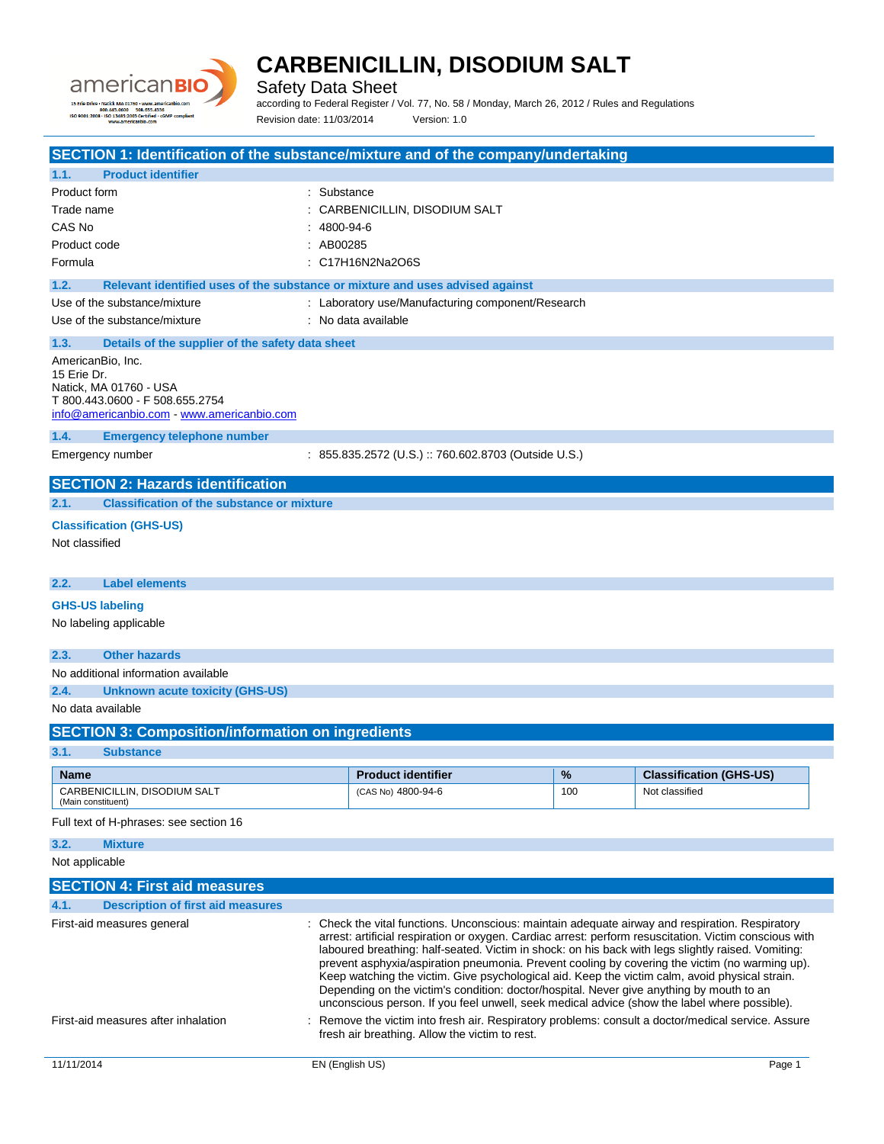

Safety Data Sheet

according to Federal Register / Vol. 77, No. 58 / Monday, March 26, 2012 / Rules and Regulations Revision date: 11/03/2014 Version: 1.0

| SECTION 1: Identification of the substance/mixture and of the company/undertaking                                                         |             |                                                                                                                                                                                                                                                                                                                                                                                                                                                                                                                                                                                                                                                                                                                  |          |                                                  |
|-------------------------------------------------------------------------------------------------------------------------------------------|-------------|------------------------------------------------------------------------------------------------------------------------------------------------------------------------------------------------------------------------------------------------------------------------------------------------------------------------------------------------------------------------------------------------------------------------------------------------------------------------------------------------------------------------------------------------------------------------------------------------------------------------------------------------------------------------------------------------------------------|----------|--------------------------------------------------|
| <b>Product identifier</b><br>1.1.                                                                                                         |             |                                                                                                                                                                                                                                                                                                                                                                                                                                                                                                                                                                                                                                                                                                                  |          |                                                  |
| Product form                                                                                                                              | : Substance |                                                                                                                                                                                                                                                                                                                                                                                                                                                                                                                                                                                                                                                                                                                  |          |                                                  |
| Trade name                                                                                                                                |             |                                                                                                                                                                                                                                                                                                                                                                                                                                                                                                                                                                                                                                                                                                                  |          |                                                  |
|                                                                                                                                           |             | CARBENICILLIN, DISODIUM SALT                                                                                                                                                                                                                                                                                                                                                                                                                                                                                                                                                                                                                                                                                     |          |                                                  |
| CAS No                                                                                                                                    | 4800-94-6   |                                                                                                                                                                                                                                                                                                                                                                                                                                                                                                                                                                                                                                                                                                                  |          |                                                  |
| Product code                                                                                                                              | AB00285     |                                                                                                                                                                                                                                                                                                                                                                                                                                                                                                                                                                                                                                                                                                                  |          |                                                  |
| Formula                                                                                                                                   |             | : C17H16N2Na2O6S                                                                                                                                                                                                                                                                                                                                                                                                                                                                                                                                                                                                                                                                                                 |          |                                                  |
| 1.2.<br>Relevant identified uses of the substance or mixture and uses advised against                                                     |             |                                                                                                                                                                                                                                                                                                                                                                                                                                                                                                                                                                                                                                                                                                                  |          |                                                  |
| Use of the substance/mixture                                                                                                              |             | : Laboratory use/Manufacturing component/Research                                                                                                                                                                                                                                                                                                                                                                                                                                                                                                                                                                                                                                                                |          |                                                  |
| Use of the substance/mixture                                                                                                              |             | : No data available                                                                                                                                                                                                                                                                                                                                                                                                                                                                                                                                                                                                                                                                                              |          |                                                  |
| 1.3.<br>Details of the supplier of the safety data sheet                                                                                  |             |                                                                                                                                                                                                                                                                                                                                                                                                                                                                                                                                                                                                                                                                                                                  |          |                                                  |
| AmericanBio, Inc.<br>15 Erie Dr.<br>Natick, MA 01760 - USA<br>T 800.443.0600 - F 508.655.2754<br>info@americanbio.com www.americanbio.com |             |                                                                                                                                                                                                                                                                                                                                                                                                                                                                                                                                                                                                                                                                                                                  |          |                                                  |
| 1.4.<br><b>Emergency telephone number</b>                                                                                                 |             |                                                                                                                                                                                                                                                                                                                                                                                                                                                                                                                                                                                                                                                                                                                  |          |                                                  |
| Emergency number                                                                                                                          |             | : 855.835.2572 (U.S.) :: 760.602.8703 (Outside U.S.)                                                                                                                                                                                                                                                                                                                                                                                                                                                                                                                                                                                                                                                             |          |                                                  |
| <b>SECTION 2: Hazards identification</b>                                                                                                  |             |                                                                                                                                                                                                                                                                                                                                                                                                                                                                                                                                                                                                                                                                                                                  |          |                                                  |
| 2.1.<br><b>Classification of the substance or mixture</b>                                                                                 |             |                                                                                                                                                                                                                                                                                                                                                                                                                                                                                                                                                                                                                                                                                                                  |          |                                                  |
|                                                                                                                                           |             |                                                                                                                                                                                                                                                                                                                                                                                                                                                                                                                                                                                                                                                                                                                  |          |                                                  |
| <b>Classification (GHS-US)</b>                                                                                                            |             |                                                                                                                                                                                                                                                                                                                                                                                                                                                                                                                                                                                                                                                                                                                  |          |                                                  |
| Not classified                                                                                                                            |             |                                                                                                                                                                                                                                                                                                                                                                                                                                                                                                                                                                                                                                                                                                                  |          |                                                  |
| <b>Label elements</b>                                                                                                                     |             |                                                                                                                                                                                                                                                                                                                                                                                                                                                                                                                                                                                                                                                                                                                  |          |                                                  |
| 2.2.                                                                                                                                      |             |                                                                                                                                                                                                                                                                                                                                                                                                                                                                                                                                                                                                                                                                                                                  |          |                                                  |
| <b>GHS-US labeling</b>                                                                                                                    |             |                                                                                                                                                                                                                                                                                                                                                                                                                                                                                                                                                                                                                                                                                                                  |          |                                                  |
| No labeling applicable                                                                                                                    |             |                                                                                                                                                                                                                                                                                                                                                                                                                                                                                                                                                                                                                                                                                                                  |          |                                                  |
| 2.3.<br><b>Other hazards</b>                                                                                                              |             |                                                                                                                                                                                                                                                                                                                                                                                                                                                                                                                                                                                                                                                                                                                  |          |                                                  |
| No additional information available                                                                                                       |             |                                                                                                                                                                                                                                                                                                                                                                                                                                                                                                                                                                                                                                                                                                                  |          |                                                  |
| 2.4.<br><b>Unknown acute toxicity (GHS-US)</b>                                                                                            |             |                                                                                                                                                                                                                                                                                                                                                                                                                                                                                                                                                                                                                                                                                                                  |          |                                                  |
| No data available                                                                                                                         |             |                                                                                                                                                                                                                                                                                                                                                                                                                                                                                                                                                                                                                                                                                                                  |          |                                                  |
| <b>SECTION 3: Composition/information on ingredients</b>                                                                                  |             |                                                                                                                                                                                                                                                                                                                                                                                                                                                                                                                                                                                                                                                                                                                  |          |                                                  |
| 3.1.<br><b>Substance</b>                                                                                                                  |             |                                                                                                                                                                                                                                                                                                                                                                                                                                                                                                                                                                                                                                                                                                                  |          |                                                  |
|                                                                                                                                           |             |                                                                                                                                                                                                                                                                                                                                                                                                                                                                                                                                                                                                                                                                                                                  |          |                                                  |
| <b>Name</b><br>CARBENICILLIN, DISODIUM SALT                                                                                               |             | <b>Product identifier</b><br>(CAS No) 4800-94-6                                                                                                                                                                                                                                                                                                                                                                                                                                                                                                                                                                                                                                                                  | %<br>100 | <b>Classification (GHS-US)</b><br>Not classified |
| (Main constituent)                                                                                                                        |             |                                                                                                                                                                                                                                                                                                                                                                                                                                                                                                                                                                                                                                                                                                                  |          |                                                  |
| Full text of H-phrases: see section 16                                                                                                    |             |                                                                                                                                                                                                                                                                                                                                                                                                                                                                                                                                                                                                                                                                                                                  |          |                                                  |
| 3.2.<br><b>Mixture</b>                                                                                                                    |             |                                                                                                                                                                                                                                                                                                                                                                                                                                                                                                                                                                                                                                                                                                                  |          |                                                  |
| Not applicable                                                                                                                            |             |                                                                                                                                                                                                                                                                                                                                                                                                                                                                                                                                                                                                                                                                                                                  |          |                                                  |
| <b>SECTION 4: First aid measures</b>                                                                                                      |             |                                                                                                                                                                                                                                                                                                                                                                                                                                                                                                                                                                                                                                                                                                                  |          |                                                  |
| 4.1.<br><b>Description of first aid measures</b>                                                                                          |             |                                                                                                                                                                                                                                                                                                                                                                                                                                                                                                                                                                                                                                                                                                                  |          |                                                  |
| First-aid measures general                                                                                                                |             | Check the vital functions. Unconscious: maintain adequate airway and respiration. Respiratory                                                                                                                                                                                                                                                                                                                                                                                                                                                                                                                                                                                                                    |          |                                                  |
| First-aid measures after inhalation                                                                                                       |             | arrest: artificial respiration or oxygen. Cardiac arrest: perform resuscitation. Victim conscious with<br>laboured breathing: half-seated. Victim in shock: on his back with legs slightly raised. Vomiting:<br>prevent asphyxia/aspiration pneumonia. Prevent cooling by covering the victim (no warming up).<br>Keep watching the victim. Give psychological aid. Keep the victim calm, avoid physical strain.<br>Depending on the victim's condition: doctor/hospital. Never give anything by mouth to an<br>unconscious person. If you feel unwell, seek medical advice (show the label where possible).<br>Remove the victim into fresh air. Respiratory problems: consult a doctor/medical service. Assure |          |                                                  |
|                                                                                                                                           |             | fresh air breathing. Allow the victim to rest.                                                                                                                                                                                                                                                                                                                                                                                                                                                                                                                                                                                                                                                                   |          |                                                  |
| 11/11/2014                                                                                                                                |             | EN (English US)                                                                                                                                                                                                                                                                                                                                                                                                                                                                                                                                                                                                                                                                                                  |          | Page 1                                           |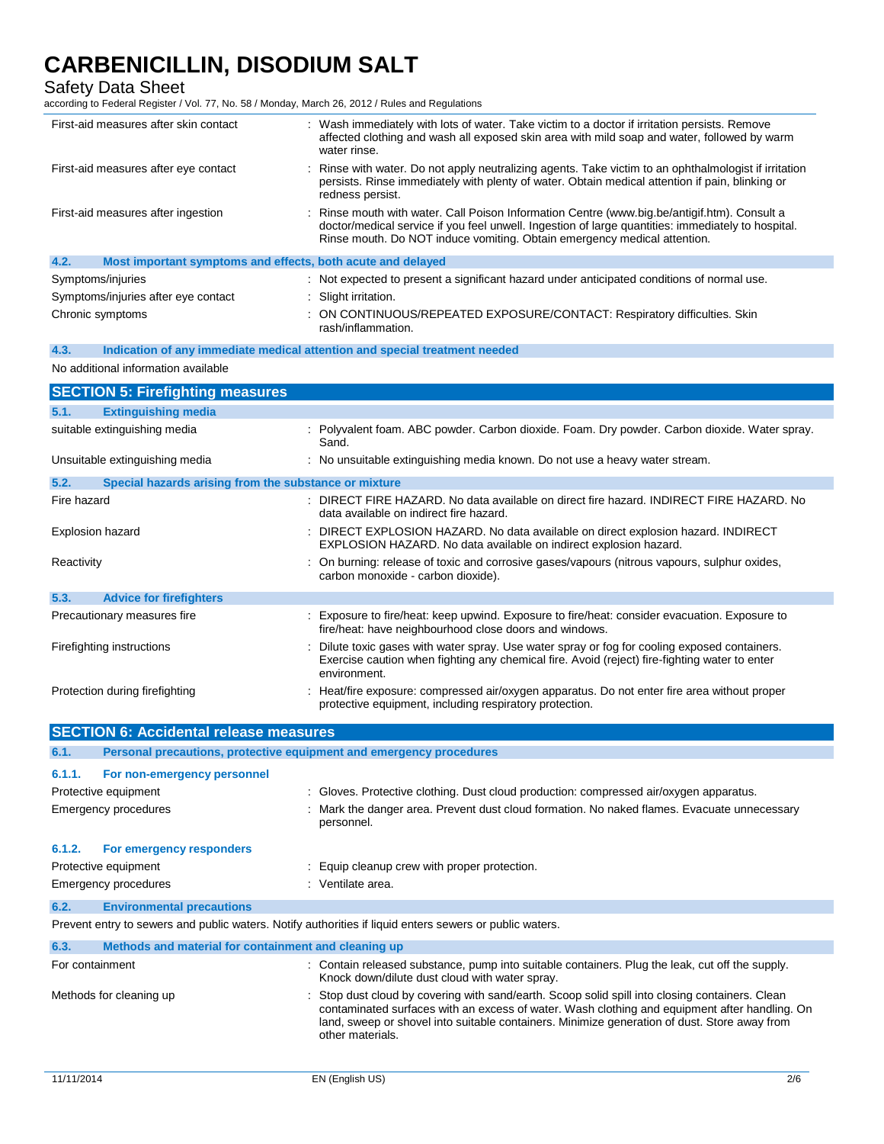Safety Data Sheet

according to Federal Register / Vol. 77, No. 58 / Monday, March 26, 2012 / Rules and Regulations

| First-aid measures after skin contact                                              | : Wash immediately with lots of water. Take victim to a doctor if irritation persists. Remove<br>affected clothing and wash all exposed skin area with mild soap and water, followed by warm<br>water rinse.                                                                 |
|------------------------------------------------------------------------------------|------------------------------------------------------------------------------------------------------------------------------------------------------------------------------------------------------------------------------------------------------------------------------|
| First-aid measures after eye contact                                               | Rinse with water. Do not apply neutralizing agents. Take victim to an ophthalmologist if irritation<br>persists. Rinse immediately with plenty of water. Obtain medical attention if pain, blinking or<br>redness persist.                                                   |
| First-aid measures after ingestion                                                 | Rinse mouth with water. Call Poison Information Centre (www.big.be/antigif.htm). Consult a<br>doctor/medical service if you feel unwell. Ingestion of large quantities: immediately to hospital.<br>Rinse mouth. Do NOT induce vomiting. Obtain emergency medical attention. |
| 4.2.<br>Most important symptoms and effects, both acute and delayed                |                                                                                                                                                                                                                                                                              |
| Symptoms/injuries                                                                  | : Not expected to present a significant hazard under anticipated conditions of normal use.                                                                                                                                                                                   |
| Symptoms/injuries after eye contact                                                | Slight irritation.                                                                                                                                                                                                                                                           |
| Chronic symptoms                                                                   | : ON CONTINUOUS/REPEATED EXPOSURE/CONTACT: Respiratory difficulties. Skin<br>rash/inflammation.                                                                                                                                                                              |
| Indication of any immediate medical attention and special treatment needed<br>4.3. |                                                                                                                                                                                                                                                                              |
| No additional information available                                                |                                                                                                                                                                                                                                                                              |
| <b>SECTION 5: Firefighting measures</b>                                            |                                                                                                                                                                                                                                                                              |
| 5.1.<br><b>Extinguishing media</b>                                                 |                                                                                                                                                                                                                                                                              |
| suitable extinguishing media                                                       | : Polyvalent foam. ABC powder. Carbon dioxide. Foam. Dry powder. Carbon dioxide. Water spray.<br>Sand.                                                                                                                                                                       |
| Unsuitable extinguishing media                                                     | : No unsuitable extinguishing media known. Do not use a heavy water stream.                                                                                                                                                                                                  |
| 5.2.<br>Special hazards arising from the substance or mixture                      |                                                                                                                                                                                                                                                                              |
| Fire hazard                                                                        | DIRECT FIRE HAZARD. No data available on direct fire hazard. INDIRECT FIRE HAZARD. No<br>data available on indirect fire hazard.                                                                                                                                             |
| <b>Explosion hazard</b>                                                            | DIRECT EXPLOSION HAZARD. No data available on direct explosion hazard. INDIRECT<br>EXPLOSION HAZARD. No data available on indirect explosion hazard.                                                                                                                         |
| Reactivity                                                                         | : On burning: release of toxic and corrosive gases/vapours (nitrous vapours, sulphur oxides,<br>carbon monoxide - carbon dioxide).                                                                                                                                           |
| 5.3.<br><b>Advice for firefighters</b>                                             |                                                                                                                                                                                                                                                                              |
| Precautionary measures fire                                                        | : Exposure to fire/heat: keep upwind. Exposure to fire/heat: consider evacuation. Exposure to<br>fire/heat: have neighbourhood close doors and windows.                                                                                                                      |
| Firefighting instructions                                                          | Dilute toxic gases with water spray. Use water spray or fog for cooling exposed containers.<br>Exercise caution when fighting any chemical fire. Avoid (reject) fire-fighting water to enter<br>environment.                                                                 |
| Protection during firefighting                                                     | : Heat/fire exposure: compressed air/oxygen apparatus. Do not enter fire area without proper<br>protective equipment, including respiratory protection.                                                                                                                      |
| <b>SECTION 6: Accidental release measures</b>                                      |                                                                                                                                                                                                                                                                              |
| 6.1.<br>Personal precautions, protective equipment and emergency procedures        |                                                                                                                                                                                                                                                                              |
| 6.1.1.                                                                             |                                                                                                                                                                                                                                                                              |
| For non-emergency personnel<br>Protective equipment                                | : Gloves. Protective clothing. Dust cloud production: compressed air/oxygen apparatus.                                                                                                                                                                                       |
|                                                                                    | Mark the danger area. Prevent dust cloud formation. No naked flames. Evacuate unnecessary                                                                                                                                                                                    |
| <b>Emergency procedures</b>                                                        | personnel.                                                                                                                                                                                                                                                                   |
| 6.1.2.<br>For emergency responders                                                 |                                                                                                                                                                                                                                                                              |
| Protective equipment                                                               | : Equip cleanup crew with proper protection.                                                                                                                                                                                                                                 |

| 6.3. |  |  |  | Methods and material for containment and cleaning up |  |  |  |
|------|--|--|--|------------------------------------------------------|--|--|--|
|      |  |  |  |                                                      |  |  |  |

Emergency procedures in the settlement of the Senate area.

| For containment         | : Contain released substance, pump into suitable containers. Plug the leak, cut off the supply.<br>Knock down/dilute dust cloud with water spray.                                                                                                                                                                    |
|-------------------------|----------------------------------------------------------------------------------------------------------------------------------------------------------------------------------------------------------------------------------------------------------------------------------------------------------------------|
| Methods for cleaning up | : Stop dust cloud by covering with sand/earth. Scoop solid spill into closing containers. Clean<br>contaminated surfaces with an excess of water. Wash clothing and equipment after handling. On<br>land, sweep or shovel into suitable containers. Minimize generation of dust. Store away from<br>other materials. |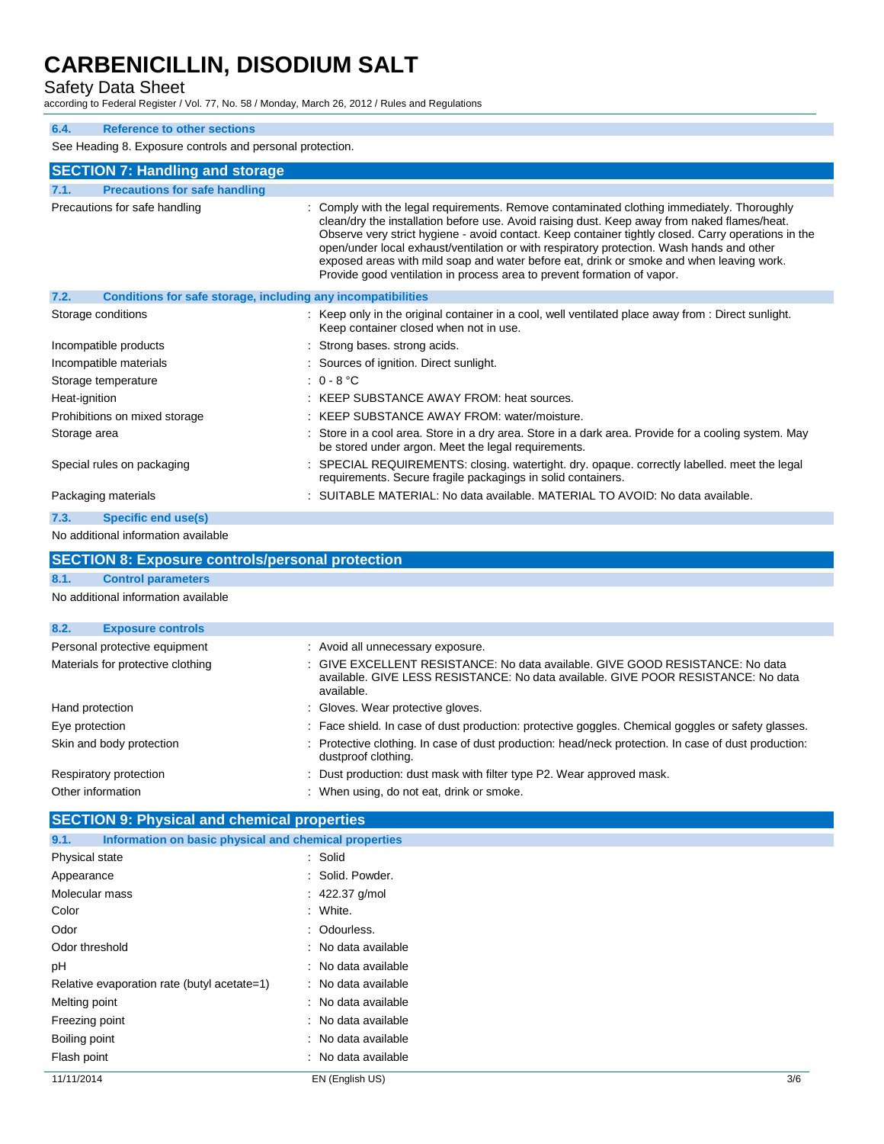# Safety Data Sheet

according to Federal Register / Vol. 77, No. 58 / Monday, March 26, 2012 / Rules and Regulations

# **6.4. Reference to other sections**

See Heading 8. Exposure controls and personal protection.

| <b>SECTION 7: Handling and storage</b>                               |                                                                                                                                                                                                                                                                                                                                                                                                                                                                                                                                                                       |
|----------------------------------------------------------------------|-----------------------------------------------------------------------------------------------------------------------------------------------------------------------------------------------------------------------------------------------------------------------------------------------------------------------------------------------------------------------------------------------------------------------------------------------------------------------------------------------------------------------------------------------------------------------|
| <b>Precautions for safe handling</b><br>7.1.                         |                                                                                                                                                                                                                                                                                                                                                                                                                                                                                                                                                                       |
| Precautions for safe handling                                        | : Comply with the legal requirements. Remove contaminated clothing immediately. Thoroughly<br>clean/dry the installation before use. Avoid raising dust. Keep away from naked flames/heat.<br>Observe very strict hygiene - avoid contact. Keep container tightly closed. Carry operations in the<br>open/under local exhaust/ventilation or with respiratory protection. Wash hands and other<br>exposed areas with mild soap and water before eat, drink or smoke and when leaving work.<br>Provide good ventilation in process area to prevent formation of vapor. |
| 7.2.<br>Conditions for safe storage, including any incompatibilities |                                                                                                                                                                                                                                                                                                                                                                                                                                                                                                                                                                       |
| Storage conditions                                                   | : Keep only in the original container in a cool, well ventilated place away from : Direct sunlight.<br>Keep container closed when not in use.                                                                                                                                                                                                                                                                                                                                                                                                                         |
| Incompatible products                                                | : Strong bases, strong acids.                                                                                                                                                                                                                                                                                                                                                                                                                                                                                                                                         |
| Incompatible materials                                               | Sources of ignition. Direct sunlight.                                                                                                                                                                                                                                                                                                                                                                                                                                                                                                                                 |
| Storage temperature                                                  | $: 0 - 8 °C$                                                                                                                                                                                                                                                                                                                                                                                                                                                                                                                                                          |
| Heat-ignition                                                        | KEEP SUBSTANCE AWAY FROM: heat sources.                                                                                                                                                                                                                                                                                                                                                                                                                                                                                                                               |
| Prohibitions on mixed storage                                        | KEEP SUBSTANCE AWAY FROM: water/moisture.                                                                                                                                                                                                                                                                                                                                                                                                                                                                                                                             |
| Storage area                                                         | : Store in a cool area. Store in a dry area. Store in a dark area. Provide for a cooling system. May<br>be stored under argon. Meet the legal requirements.                                                                                                                                                                                                                                                                                                                                                                                                           |
| Special rules on packaging                                           | SPECIAL REQUIREMENTS: closing. watertight. dry. opaque. correctly labelled. meet the legal<br>requirements. Secure fragile packagings in solid containers.                                                                                                                                                                                                                                                                                                                                                                                                            |
| Packaging materials                                                  | : SUITABLE MATERIAL: No data available. MATERIAL TO AVOID: No data available.                                                                                                                                                                                                                                                                                                                                                                                                                                                                                         |
| 7.3.<br><b>Specific end use(s)</b>                                   |                                                                                                                                                                                                                                                                                                                                                                                                                                                                                                                                                                       |
| No additional information available                                  |                                                                                                                                                                                                                                                                                                                                                                                                                                                                                                                                                                       |
| <b>SECTION 8: Exposure controls/personal protection</b>              |                                                                                                                                                                                                                                                                                                                                                                                                                                                                                                                                                                       |
| 8.1.<br><b>Control parameters</b>                                    |                                                                                                                                                                                                                                                                                                                                                                                                                                                                                                                                                                       |
| No additional information available                                  |                                                                                                                                                                                                                                                                                                                                                                                                                                                                                                                                                                       |
| 8.2.<br><b>Exposure controls</b>                                     |                                                                                                                                                                                                                                                                                                                                                                                                                                                                                                                                                                       |
| Personal protective equipment                                        | : Avoid all unnecessary exposure.                                                                                                                                                                                                                                                                                                                                                                                                                                                                                                                                     |
| Materials for protective clothing                                    | GIVE EXCELLENT RESISTANCE: No data available. GIVE GOOD RESISTANCE: No data<br>available. GIVE LESS RESISTANCE: No data available. GIVE POOR RESISTANCE: No data<br>available.                                                                                                                                                                                                                                                                                                                                                                                        |

| Hand protection          | Gloves. Wear protective gloves.                                                                                             |
|--------------------------|-----------------------------------------------------------------------------------------------------------------------------|
| Eye protection           | Face shield. In case of dust production: protective goggles. Chemical goggles or safety glasses.                            |
| Skin and body protection | : Protective clothing. In case of dust production: head/neck protection. In case of dust production:<br>dustproof clothing. |
| Respiratory protection   | Dust production: dust mask with filter type P2. Wear approved mask.                                                         |

Other information **contracts** on the contract of the U.S. when using, do not eat, drink or smoke.

# **SECTION 9: Physical and chemical properties**

| Information on basic physical and chemical properties<br>9.1. |                     |     |
|---------------------------------------------------------------|---------------------|-----|
| Physical state                                                | : Solid             |     |
| Appearance                                                    | : Solid. Powder.    |     |
| Molecular mass                                                | : 422.37 g/mol      |     |
| Color                                                         | : White.            |     |
| Odor                                                          | : Odourless.        |     |
| Odor threshold                                                | : No data available |     |
| pH                                                            | : No data available |     |
| Relative evaporation rate (butyl acetate=1)                   | : No data available |     |
| Melting point                                                 | : No data available |     |
| Freezing point                                                | : No data available |     |
| Boiling point                                                 | : No data available |     |
| Flash point                                                   | : No data available |     |
| 11/11/2014                                                    | EN (English US)     | 3/6 |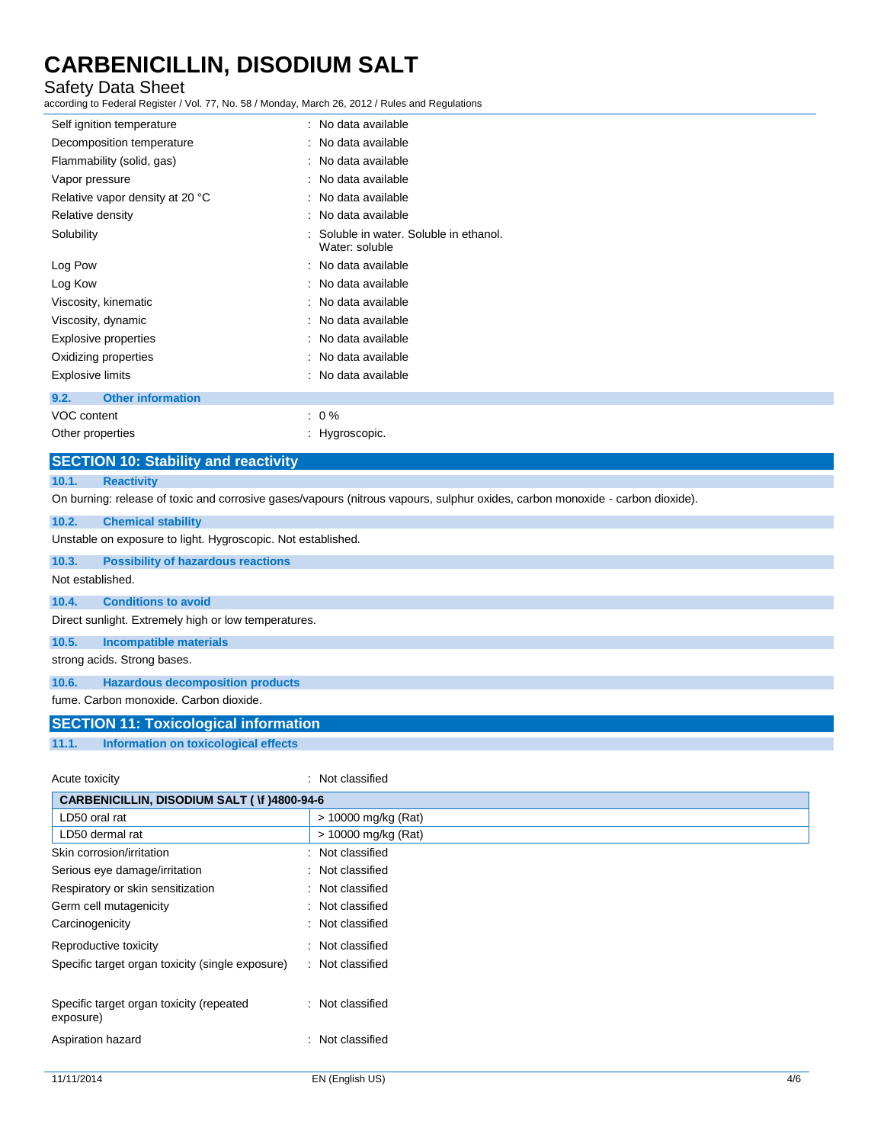# Safety Data Sheet

according to Federal Register / Vol. 77, No. 58 / Monday, March 26, 2012 / Rules and Regulations

| Self ignition temperature                   | : No data available                                     |
|---------------------------------------------|---------------------------------------------------------|
| Decomposition temperature                   | : No data available                                     |
| Flammability (solid, gas)                   | : No data available                                     |
| Vapor pressure                              | : No data available                                     |
| Relative vapor density at 20 °C             | : No data available                                     |
| Relative density                            | : No data available                                     |
| Solubility                                  | Soluble in water. Soluble in ethanol.<br>Water: soluble |
| Log Pow                                     | : No data available                                     |
| Log Kow                                     | : No data available                                     |
| Viscosity, kinematic                        | : No data available                                     |
| Viscosity, dynamic                          | : No data available                                     |
| Explosive properties                        | : No data available                                     |
| Oxidizing properties                        | : No data available                                     |
| <b>Explosive limits</b>                     | : No data available                                     |
| <b>Other information</b><br>9.2.            |                                                         |
| VOC content                                 | $: 0\%$                                                 |
| Other properties                            | : Hygroscopic.                                          |
| <b>SECTION 10: Stability and reactivity</b> |                                                         |
|                                             |                                                         |

### **10.1. Reactivity**

On burning: release of toxic and corrosive gases/vapours (nitrous vapours, sulphur oxides, carbon monoxide - carbon dioxide).

#### **10.2. Chemical stability**

Unstable on exposure to light. Hygroscopic. Not established.

**10.3. Possibility of hazardous reactions**

Not established.

### **10.4. Conditions to avoid**

Direct sunlight. Extremely high or low temperatures.

# **10.5. Incompatible materials**

strong acids. Strong bases.

### **10.6. Hazardous decomposition products**

fume. Carbon monoxide. Carbon dioxide.

# **SECTION 11: Toxicological information**

**11.1. Information on toxicological effects**

Acute toxicity **in the case of the case of the case of the case of the case of the case of the case of the case of the case of the case of the case of the case of the case of the case of the case of the case of the case of** 

| CARBENICILLIN, DISODIUM SALT ( \f )4800-94-6          |                     |
|-------------------------------------------------------|---------------------|
| LD50 oral rat                                         | > 10000 mg/kg (Rat) |
| LD50 dermal rat                                       | > 10000 mg/kg (Rat) |
| Skin corrosion/irritation                             | : Not classified    |
| Serious eye damage/irritation                         | : Not classified    |
| Respiratory or skin sensitization                     | : Not classified    |
| Germ cell mutagenicity                                | : Not classified    |
| Carcinogenicity                                       | : Not classified    |
| Reproductive toxicity                                 | : Not classified    |
| Specific target organ toxicity (single exposure)      | : Not classified    |
| Specific target organ toxicity (repeated<br>exposure) | : Not classified    |
| Aspiration hazard                                     | Not classified<br>٠ |
|                                                       |                     |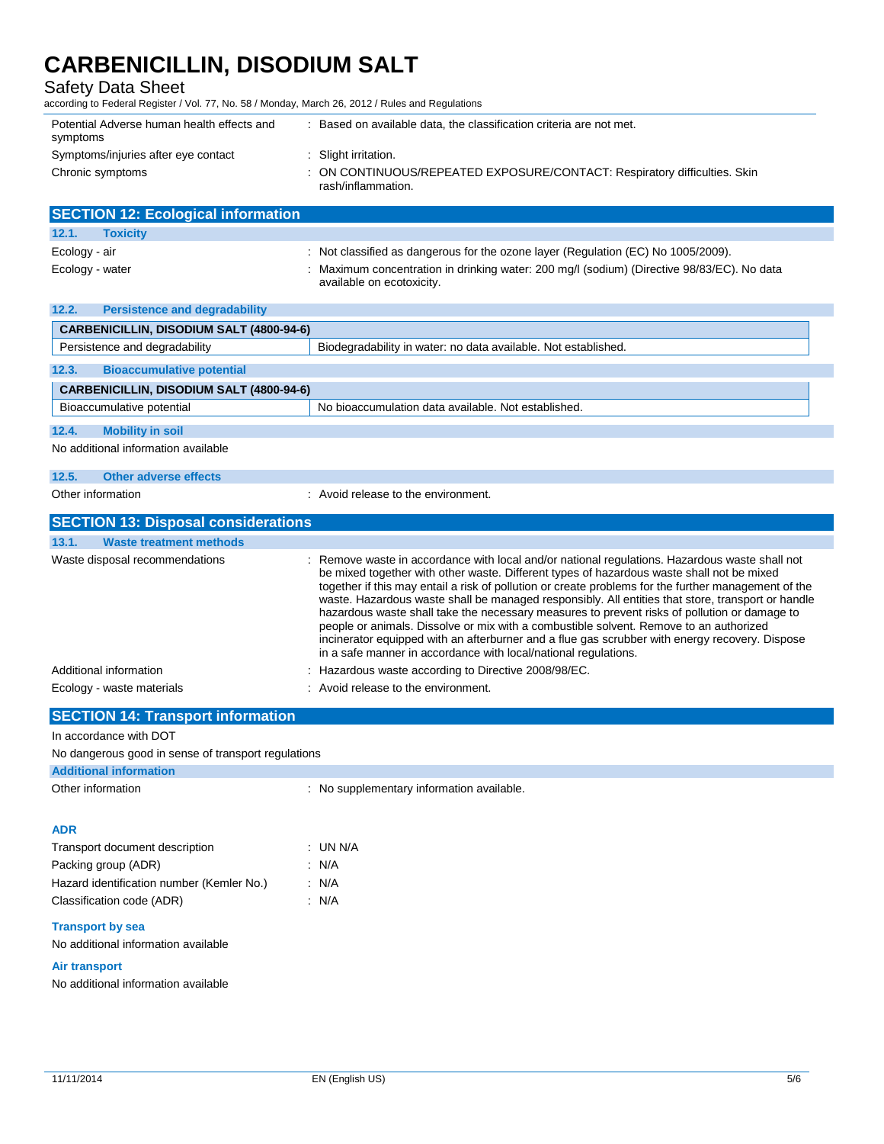# Safety Data Sheet

according to Federal Register / Vol. 77, No. 58 / Monday, March 26, 2012 / Rules and Regulations

| Potential Adverse human health effects and<br>symptoms | Based on available data, the classification criteria are not met.                               |
|--------------------------------------------------------|-------------------------------------------------------------------------------------------------|
| Symptoms/injuries after eye contact                    | Slight irritation.                                                                              |
| Chronic symptoms                                       | : ON CONTINUOUS/REPEATED EXPOSURE/CONTACT: Respiratory difficulties. Skin<br>rash/inflammation. |

|                 | <b>SECTION 12: Ecological information</b> |                                                                                                                         |
|-----------------|-------------------------------------------|-------------------------------------------------------------------------------------------------------------------------|
| 12.1.           | <b>Toxicity</b>                           |                                                                                                                         |
| Ecology - air   |                                           | : Not classified as dangerous for the ozone layer (Regulation (EC) No 1005/2009).                                       |
| Ecology - water |                                           | : Maximum concentration in drinking water: 200 mg/l (sodium) (Directive 98/83/EC). No data<br>available on ecotoxicity. |

| 12.2.                               | <b>Persistence and degradability</b>            |                                                                |  |  |  |  |
|-------------------------------------|-------------------------------------------------|----------------------------------------------------------------|--|--|--|--|
|                                     | <b>CARBENICILLIN, DISODIUM SALT (4800-94-6)</b> |                                                                |  |  |  |  |
|                                     | Persistence and degradability                   | Biodegradability in water: no data available. Not established. |  |  |  |  |
| 12.3.                               | <b>Bioaccumulative potential</b>                |                                                                |  |  |  |  |
|                                     | <b>CARBENICILLIN, DISODIUM SALT (4800-94-6)</b> |                                                                |  |  |  |  |
|                                     | Bioaccumulative potential                       | No bioaccumulation data available. Not established.            |  |  |  |  |
| 12.4.                               | <b>Mobility in soil</b>                         |                                                                |  |  |  |  |
| No additional information available |                                                 |                                                                |  |  |  |  |

| 12.5.             | <b>Other adverse effects</b> |                                     |
|-------------------|------------------------------|-------------------------------------|
| Other information |                              | : Avoid release to the environment. |

| <b>SECTION 13: Disposal considerations</b>                                                                                                                                                                                                                                                                                                                                                                                                                                                                                                                                                                                                                                                                                                                              |  |  |  |  |  |
|-------------------------------------------------------------------------------------------------------------------------------------------------------------------------------------------------------------------------------------------------------------------------------------------------------------------------------------------------------------------------------------------------------------------------------------------------------------------------------------------------------------------------------------------------------------------------------------------------------------------------------------------------------------------------------------------------------------------------------------------------------------------------|--|--|--|--|--|
|                                                                                                                                                                                                                                                                                                                                                                                                                                                                                                                                                                                                                                                                                                                                                                         |  |  |  |  |  |
| : Remove waste in accordance with local and/or national regulations. Hazardous waste shall not<br>be mixed together with other waste. Different types of hazardous waste shall not be mixed<br>together if this may entail a risk of pollution or create problems for the further management of the<br>waste. Hazardous waste shall be managed responsibly. All entities that store, transport or handle<br>hazardous waste shall take the necessary measures to prevent risks of pollution or damage to<br>people or animals. Dissolve or mix with a combustible solvent. Remove to an authorized<br>incinerator equipped with an afterburner and a flue gas scrubber with energy recovery. Dispose<br>in a safe manner in accordance with local/national regulations. |  |  |  |  |  |
| : Hazardous waste according to Directive 2008/98/EC.                                                                                                                                                                                                                                                                                                                                                                                                                                                                                                                                                                                                                                                                                                                    |  |  |  |  |  |
| : Avoid release to the environment.                                                                                                                                                                                                                                                                                                                                                                                                                                                                                                                                                                                                                                                                                                                                     |  |  |  |  |  |
|                                                                                                                                                                                                                                                                                                                                                                                                                                                                                                                                                                                                                                                                                                                                                                         |  |  |  |  |  |

**SECTION 14: Transport information**

# In accordance with DOT

No dangerous good in sense of transport regulations

# **Additional information**

| Other information                         | : No supplementary information available. |  |
|-------------------------------------------|-------------------------------------------|--|
| <b>ADR</b>                                |                                           |  |
| Transport document description            | : UN N/A                                  |  |
| Packing group (ADR)                       | : N/A                                     |  |
| Hazard identification number (Kemler No.) | $\therefore$ N/A                          |  |
| Classification code (ADR)                 | $\therefore$ N/A                          |  |
| <b>Transport by sea</b>                   |                                           |  |
| No additional information available       |                                           |  |
| Air transport                             |                                           |  |

No additional information available